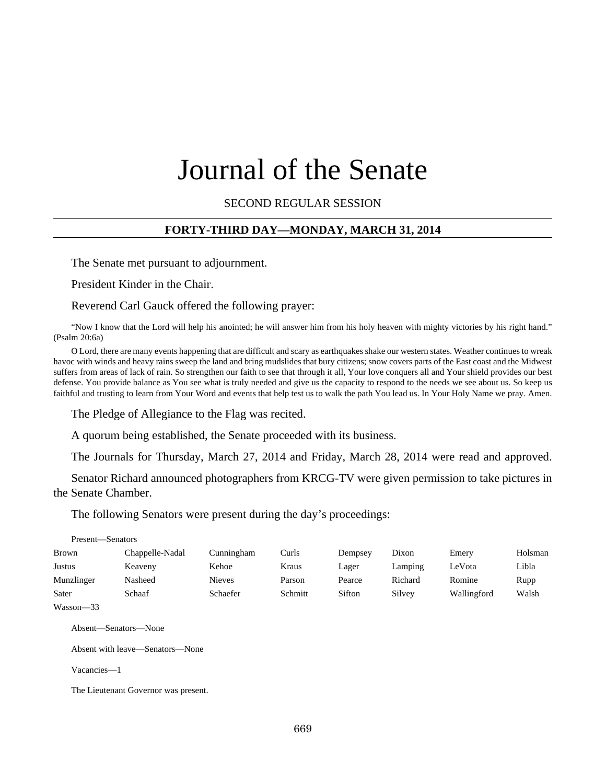# Journal of the Senate

SECOND REGULAR SESSION

#### **FORTY-THIRD DAY—MONDAY, MARCH 31, 2014**

The Senate met pursuant to adjournment.

President Kinder in the Chair.

Reverend Carl Gauck offered the following prayer:

"Now I know that the Lord will help his anointed; he will answer him from his holy heaven with mighty victories by his right hand." (Psalm 20:6a)

O Lord, there are many events happening that are difficult and scary as earthquakes shake our western states. Weather continues to wreak havoc with winds and heavy rains sweep the land and bring mudslides that bury citizens; snow covers parts of the East coast and the Midwest suffers from areas of lack of rain. So strengthen our faith to see that through it all, Your love conquers all and Your shield provides our best defense. You provide balance as You see what is truly needed and give us the capacity to respond to the needs we see about us. So keep us faithful and trusting to learn from Your Word and events that help test us to walk the path You lead us. In Your Holy Name we pray. Amen.

The Pledge of Allegiance to the Flag was recited.

A quorum being established, the Senate proceeded with its business.

The Journals for Thursday, March 27, 2014 and Friday, March 28, 2014 were read and approved.

Senator Richard announced photographers from KRCG-TV were given permission to take pictures in the Senate Chamber.

The following Senators were present during the day's proceedings:

| Present—Senators |                 |               |         |         |         |             |         |
|------------------|-----------------|---------------|---------|---------|---------|-------------|---------|
| <b>Brown</b>     | Chappelle-Nadal | Cunningham    | Curls   | Dempsey | Dixon   | Emery       | Holsman |
| Justus           | Keaveny         | Kehoe         | Kraus   | Lager   | Lamping | LeVota      | Libla   |
| Munzlinger       | Nasheed         | <b>Nieves</b> | Parson  | Pearce  | Richard | Romine      | Rupp    |
| Sater            | Schaaf          | Schaefer      | Schmitt | Sifton  | Silvey  | Wallingford | Walsh   |
| $W$ asson—33     |                 |               |         |         |         |             |         |

Absent—Senators—None

Absent with leave—Senators—None

Vacancies—1

The Lieutenant Governor was present.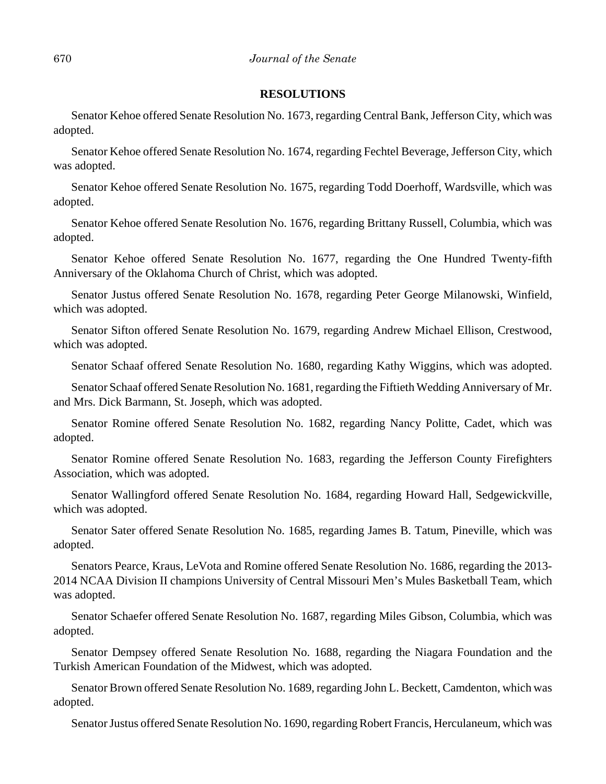#### **RESOLUTIONS**

Senator Kehoe offered Senate Resolution No. 1673, regarding Central Bank, Jefferson City, which was adopted.

Senator Kehoe offered Senate Resolution No. 1674, regarding Fechtel Beverage, Jefferson City, which was adopted.

Senator Kehoe offered Senate Resolution No. 1675, regarding Todd Doerhoff, Wardsville, which was adopted.

Senator Kehoe offered Senate Resolution No. 1676, regarding Brittany Russell, Columbia, which was adopted.

Senator Kehoe offered Senate Resolution No. 1677, regarding the One Hundred Twenty-fifth Anniversary of the Oklahoma Church of Christ, which was adopted.

Senator Justus offered Senate Resolution No. 1678, regarding Peter George Milanowski, Winfield, which was adopted.

Senator Sifton offered Senate Resolution No. 1679, regarding Andrew Michael Ellison, Crestwood, which was adopted.

Senator Schaaf offered Senate Resolution No. 1680, regarding Kathy Wiggins, which was adopted.

Senator Schaaf offered Senate Resolution No. 1681, regarding the Fiftieth Wedding Anniversary of Mr. and Mrs. Dick Barmann, St. Joseph, which was adopted.

Senator Romine offered Senate Resolution No. 1682, regarding Nancy Politte, Cadet, which was adopted.

Senator Romine offered Senate Resolution No. 1683, regarding the Jefferson County Firefighters Association, which was adopted.

Senator Wallingford offered Senate Resolution No. 1684, regarding Howard Hall, Sedgewickville, which was adopted.

Senator Sater offered Senate Resolution No. 1685, regarding James B. Tatum, Pineville, which was adopted.

Senators Pearce, Kraus, LeVota and Romine offered Senate Resolution No. 1686, regarding the 2013- 2014 NCAA Division II champions University of Central Missouri Men's Mules Basketball Team, which was adopted.

Senator Schaefer offered Senate Resolution No. 1687, regarding Miles Gibson, Columbia, which was adopted.

Senator Dempsey offered Senate Resolution No. 1688, regarding the Niagara Foundation and the Turkish American Foundation of the Midwest, which was adopted.

Senator Brown offered Senate Resolution No. 1689, regarding John L. Beckett, Camdenton, which was adopted.

Senator Justus offered Senate Resolution No. 1690, regarding Robert Francis, Herculaneum, which was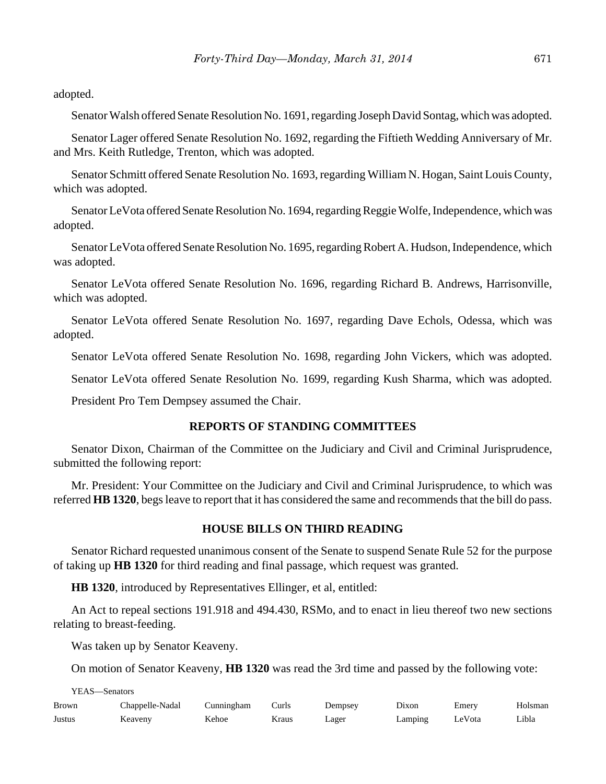adopted.

Senator Walsh offered Senate Resolution No. 1691, regarding Joseph David Sontag, which was adopted.

Senator Lager offered Senate Resolution No. 1692, regarding the Fiftieth Wedding Anniversary of Mr. and Mrs. Keith Rutledge, Trenton, which was adopted.

Senator Schmitt offered Senate Resolution No. 1693, regarding William N. Hogan, Saint Louis County, which was adopted.

Senator LeVota offered Senate Resolution No. 1694, regarding Reggie Wolfe, Independence, which was adopted.

Senator LeVota offered Senate Resolution No. 1695, regarding Robert A. Hudson, Independence, which was adopted.

Senator LeVota offered Senate Resolution No. 1696, regarding Richard B. Andrews, Harrisonville, which was adopted.

Senator LeVota offered Senate Resolution No. 1697, regarding Dave Echols, Odessa, which was adopted.

Senator LeVota offered Senate Resolution No. 1698, regarding John Vickers, which was adopted.

Senator LeVota offered Senate Resolution No. 1699, regarding Kush Sharma, which was adopted.

President Pro Tem Dempsey assumed the Chair.

#### **REPORTS OF STANDING COMMITTEES**

Senator Dixon, Chairman of the Committee on the Judiciary and Civil and Criminal Jurisprudence, submitted the following report:

Mr. President: Your Committee on the Judiciary and Civil and Criminal Jurisprudence, to which was referred **HB 1320**, begs leave to report that it has considered the same and recommends that the bill do pass.

#### **HOUSE BILLS ON THIRD READING**

Senator Richard requested unanimous consent of the Senate to suspend Senate Rule 52 for the purpose of taking up **HB 1320** for third reading and final passage, which request was granted.

**HB 1320**, introduced by Representatives Ellinger, et al, entitled:

An Act to repeal sections 191.918 and 494.430, RSMo, and to enact in lieu thereof two new sections relating to breast-feeding.

Was taken up by Senator Keaveny.

On motion of Senator Keaveny, **HB 1320** was read the 3rd time and passed by the following vote:

YEAS—Senators

| Brown  | Chappelle-Nadal | Cunningham | Curls | Dempsey | Dixon   | Emery  | Holsman |
|--------|-----------------|------------|-------|---------|---------|--------|---------|
| Justus | Keaveny         | Kehoe      | Kraus | Lager   | Lamping | LeVota | Libla   |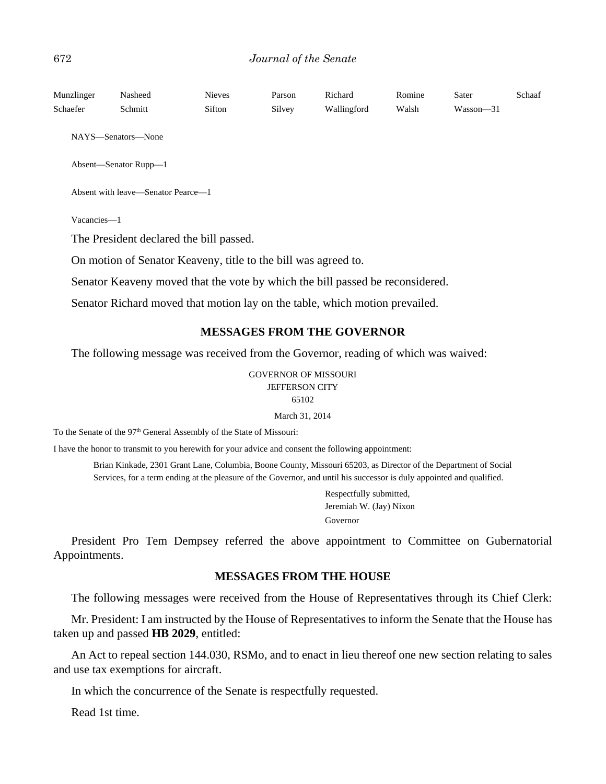| Munzlinger                                                                    | Nasheed                                                                     | <b>Nieves</b> | Parson | Richard                           | Romine | Sater     | Schaaf |  |
|-------------------------------------------------------------------------------|-----------------------------------------------------------------------------|---------------|--------|-----------------------------------|--------|-----------|--------|--|
| Schaefer                                                                      | Schmitt                                                                     | Sifton        | Silvey | Wallingford                       | Walsh  | Wasson-31 |        |  |
|                                                                               | NAYS—Senators—None                                                          |               |        |                                   |        |           |        |  |
|                                                                               | Absent-Senator Rupp-1                                                       |               |        |                                   |        |           |        |  |
|                                                                               | Absent with leave—Senator Pearce—1                                          |               |        |                                   |        |           |        |  |
| Vacancies-1                                                                   |                                                                             |               |        |                                   |        |           |        |  |
|                                                                               | The President declared the bill passed.                                     |               |        |                                   |        |           |        |  |
|                                                                               | On motion of Senator Keaveny, title to the bill was agreed to.              |               |        |                                   |        |           |        |  |
| Senator Keaveny moved that the vote by which the bill passed be reconsidered. |                                                                             |               |        |                                   |        |           |        |  |
|                                                                               | Senator Richard moved that motion lay on the table, which motion prevailed. |               |        |                                   |        |           |        |  |
|                                                                               |                                                                             |               |        | <b>MESSAGES FROM THE GOVERNOR</b> |        |           |        |  |

The following message was received from the Governor, reading of which was waived:

GOVERNOR OF MISSOURI JEFFERSON CITY 65102

March 31, 2014

To the Senate of the 97<sup>th</sup> General Assembly of the State of Missouri:

I have the honor to transmit to you herewith for your advice and consent the following appointment:

Brian Kinkade, 2301 Grant Lane, Columbia, Boone County, Missouri 65203, as Director of the Department of Social Services, for a term ending at the pleasure of the Governor, and until his successor is duly appointed and qualified.

> Respectfully submitted, Jeremiah W. (Jay) Nixon Governor

President Pro Tem Dempsey referred the above appointment to Committee on Gubernatorial Appointments.

#### **MESSAGES FROM THE HOUSE**

The following messages were received from the House of Representatives through its Chief Clerk:

Mr. President: I am instructed by the House of Representatives to inform the Senate that the House has taken up and passed **HB 2029**, entitled:

An Act to repeal section 144.030, RSMo, and to enact in lieu thereof one new section relating to sales and use tax exemptions for aircraft.

In which the concurrence of the Senate is respectfully requested.

Read 1st time.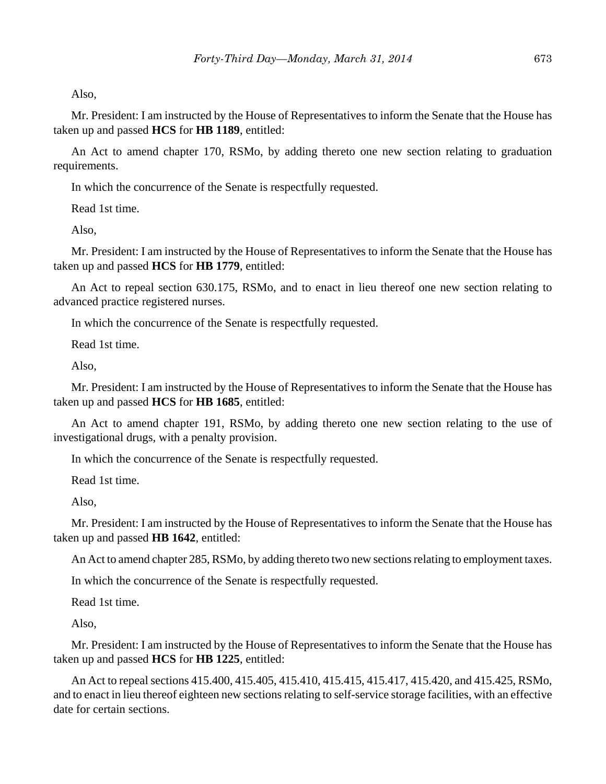Also,

Mr. President: I am instructed by the House of Representatives to inform the Senate that the House has taken up and passed **HCS** for **HB 1189**, entitled:

An Act to amend chapter 170, RSMo, by adding thereto one new section relating to graduation requirements.

In which the concurrence of the Senate is respectfully requested.

Read 1st time.

Also,

Mr. President: I am instructed by the House of Representatives to inform the Senate that the House has taken up and passed **HCS** for **HB 1779**, entitled:

An Act to repeal section 630.175, RSMo, and to enact in lieu thereof one new section relating to advanced practice registered nurses.

In which the concurrence of the Senate is respectfully requested.

Read 1st time.

Also,

Mr. President: I am instructed by the House of Representatives to inform the Senate that the House has taken up and passed **HCS** for **HB 1685**, entitled:

An Act to amend chapter 191, RSMo, by adding thereto one new section relating to the use of investigational drugs, with a penalty provision.

In which the concurrence of the Senate is respectfully requested.

Read 1st time.

Also,

Mr. President: I am instructed by the House of Representatives to inform the Senate that the House has taken up and passed **HB 1642**, entitled:

An Act to amend chapter 285, RSMo, by adding thereto two new sections relating to employment taxes.

In which the concurrence of the Senate is respectfully requested.

Read 1st time.

Also,

Mr. President: I am instructed by the House of Representatives to inform the Senate that the House has taken up and passed **HCS** for **HB 1225**, entitled:

An Act to repeal sections 415.400, 415.405, 415.410, 415.415, 415.417, 415.420, and 415.425, RSMo, and to enact in lieu thereof eighteen new sections relating to self-service storage facilities, with an effective date for certain sections.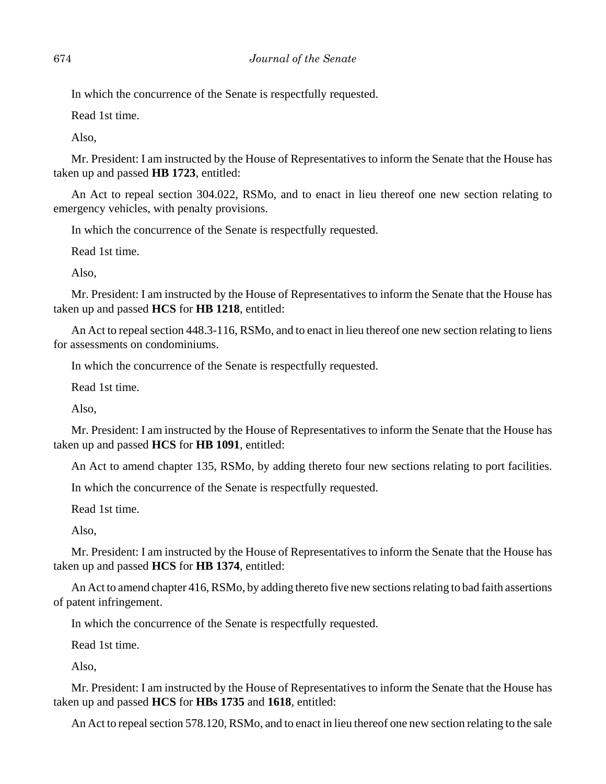In which the concurrence of the Senate is respectfully requested.

Read 1st time.

Also,

Mr. President: I am instructed by the House of Representatives to inform the Senate that the House has taken up and passed **HB 1723**, entitled:

An Act to repeal section 304.022, RSMo, and to enact in lieu thereof one new section relating to emergency vehicles, with penalty provisions.

In which the concurrence of the Senate is respectfully requested.

Read 1st time.

Also,

Mr. President: I am instructed by the House of Representatives to inform the Senate that the House has taken up and passed **HCS** for **HB 1218**, entitled:

An Act to repeal section 448.3-116, RSMo, and to enact in lieu thereof one new section relating to liens for assessments on condominiums.

In which the concurrence of the Senate is respectfully requested.

Read 1st time.

Also,

Mr. President: I am instructed by the House of Representatives to inform the Senate that the House has taken up and passed **HCS** for **HB 1091**, entitled:

An Act to amend chapter 135, RSMo, by adding thereto four new sections relating to port facilities.

In which the concurrence of the Senate is respectfully requested.

Read 1st time.

Also,

Mr. President: I am instructed by the House of Representatives to inform the Senate that the House has taken up and passed **HCS** for **HB 1374**, entitled:

An Act to amend chapter 416, RSMo, by adding thereto five new sections relating to bad faith assertions of patent infringement.

In which the concurrence of the Senate is respectfully requested.

Read 1st time.

Also,

Mr. President: I am instructed by the House of Representatives to inform the Senate that the House has taken up and passed **HCS** for **HBs 1735** and **1618**, entitled:

An Act to repeal section 578.120, RSMo, and to enact in lieu thereof one new section relating to the sale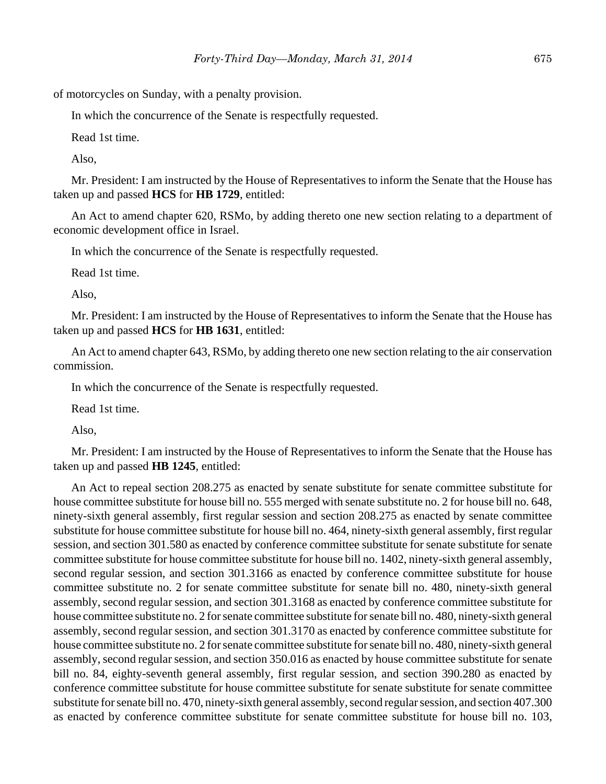of motorcycles on Sunday, with a penalty provision.

In which the concurrence of the Senate is respectfully requested.

Read 1st time.

Also,

Mr. President: I am instructed by the House of Representatives to inform the Senate that the House has taken up and passed **HCS** for **HB 1729**, entitled:

An Act to amend chapter 620, RSMo, by adding thereto one new section relating to a department of economic development office in Israel.

In which the concurrence of the Senate is respectfully requested.

Read 1st time.

Also,

Mr. President: I am instructed by the House of Representatives to inform the Senate that the House has taken up and passed **HCS** for **HB 1631**, entitled:

An Act to amend chapter 643, RSMo, by adding thereto one new section relating to the air conservation commission.

In which the concurrence of the Senate is respectfully requested.

Read 1st time.

Also,

Mr. President: I am instructed by the House of Representatives to inform the Senate that the House has taken up and passed **HB 1245**, entitled:

An Act to repeal section 208.275 as enacted by senate substitute for senate committee substitute for house committee substitute for house bill no. 555 merged with senate substitute no. 2 for house bill no. 648, ninety-sixth general assembly, first regular session and section 208.275 as enacted by senate committee substitute for house committee substitute for house bill no. 464, ninety-sixth general assembly, first regular session, and section 301.580 as enacted by conference committee substitute for senate substitute for senate committee substitute for house committee substitute for house bill no. 1402, ninety-sixth general assembly, second regular session, and section 301.3166 as enacted by conference committee substitute for house committee substitute no. 2 for senate committee substitute for senate bill no. 480, ninety-sixth general assembly, second regular session, and section 301.3168 as enacted by conference committee substitute for house committee substitute no. 2 for senate committee substitute for senate bill no. 480, ninety-sixth general assembly, second regular session, and section 301.3170 as enacted by conference committee substitute for house committee substitute no. 2 for senate committee substitute for senate bill no. 480, ninety-sixth general assembly, second regular session, and section 350.016 as enacted by house committee substitute for senate bill no. 84, eighty-seventh general assembly, first regular session, and section 390.280 as enacted by conference committee substitute for house committee substitute for senate substitute for senate committee substitute for senate bill no. 470, ninety-sixth general assembly, second regular session, and section 407.300 as enacted by conference committee substitute for senate committee substitute for house bill no. 103,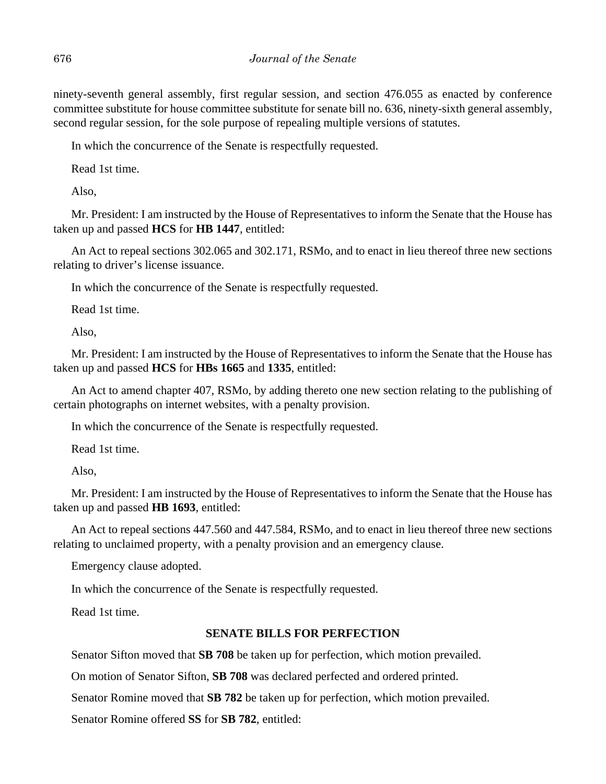ninety-seventh general assembly, first regular session, and section 476.055 as enacted by conference committee substitute for house committee substitute for senate bill no. 636, ninety-sixth general assembly, second regular session, for the sole purpose of repealing multiple versions of statutes.

In which the concurrence of the Senate is respectfully requested.

Read 1st time.

Also,

Mr. President: I am instructed by the House of Representatives to inform the Senate that the House has taken up and passed **HCS** for **HB 1447**, entitled:

An Act to repeal sections 302.065 and 302.171, RSMo, and to enact in lieu thereof three new sections relating to driver's license issuance.

In which the concurrence of the Senate is respectfully requested.

Read 1st time.

Also,

Mr. President: I am instructed by the House of Representatives to inform the Senate that the House has taken up and passed **HCS** for **HBs 1665** and **1335**, entitled:

An Act to amend chapter 407, RSMo, by adding thereto one new section relating to the publishing of certain photographs on internet websites, with a penalty provision.

In which the concurrence of the Senate is respectfully requested.

Read 1st time.

Also,

Mr. President: I am instructed by the House of Representatives to inform the Senate that the House has taken up and passed **HB 1693**, entitled:

An Act to repeal sections 447.560 and 447.584, RSMo, and to enact in lieu thereof three new sections relating to unclaimed property, with a penalty provision and an emergency clause.

Emergency clause adopted.

In which the concurrence of the Senate is respectfully requested.

Read 1st time.

## **SENATE BILLS FOR PERFECTION**

Senator Sifton moved that **SB 708** be taken up for perfection, which motion prevailed.

On motion of Senator Sifton, **SB 708** was declared perfected and ordered printed.

Senator Romine moved that **SB 782** be taken up for perfection, which motion prevailed.

Senator Romine offered **SS** for **SB 782**, entitled: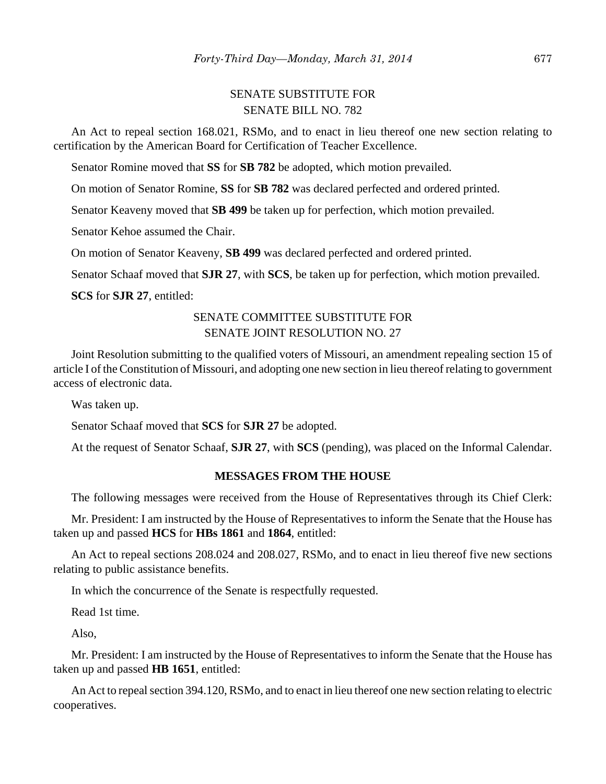# SENATE SUBSTITUTE FOR SENATE BILL NO. 782

An Act to repeal section 168.021, RSMo, and to enact in lieu thereof one new section relating to certification by the American Board for Certification of Teacher Excellence.

Senator Romine moved that **SS** for **SB 782** be adopted, which motion prevailed.

On motion of Senator Romine, **SS** for **SB 782** was declared perfected and ordered printed.

Senator Keaveny moved that **SB 499** be taken up for perfection, which motion prevailed.

Senator Kehoe assumed the Chair.

On motion of Senator Keaveny, **SB 499** was declared perfected and ordered printed.

Senator Schaaf moved that **SJR 27**, with **SCS**, be taken up for perfection, which motion prevailed.

**SCS** for **SJR 27**, entitled:

# SENATE COMMITTEE SUBSTITUTE FOR SENATE JOINT RESOLUTION NO. 27

Joint Resolution submitting to the qualified voters of Missouri, an amendment repealing section 15 of article I of the Constitution of Missouri, and adopting one new section in lieu thereof relating to government access of electronic data.

Was taken up.

Senator Schaaf moved that **SCS** for **SJR 27** be adopted.

At the request of Senator Schaaf, **SJR 27**, with **SCS** (pending), was placed on the Informal Calendar.

#### **MESSAGES FROM THE HOUSE**

The following messages were received from the House of Representatives through its Chief Clerk:

Mr. President: I am instructed by the House of Representatives to inform the Senate that the House has taken up and passed **HCS** for **HBs 1861** and **1864**, entitled:

An Act to repeal sections 208.024 and 208.027, RSMo, and to enact in lieu thereof five new sections relating to public assistance benefits.

In which the concurrence of the Senate is respectfully requested.

Read 1st time.

Also,

Mr. President: I am instructed by the House of Representatives to inform the Senate that the House has taken up and passed **HB 1651**, entitled:

An Act to repeal section 394.120, RSMo, and to enact in lieu thereof one new section relating to electric cooperatives.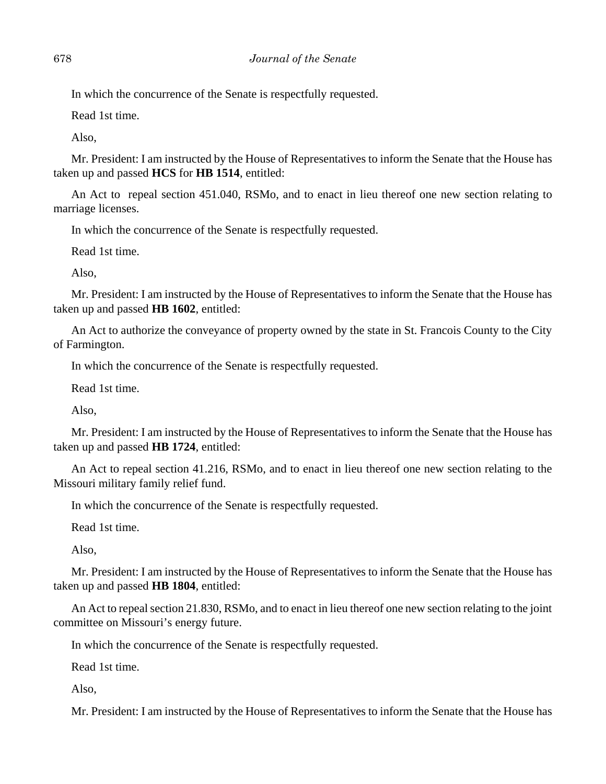In which the concurrence of the Senate is respectfully requested.

Read 1st time.

Also,

Mr. President: I am instructed by the House of Representatives to inform the Senate that the House has taken up and passed **HCS** for **HB 1514**, entitled:

An Act to repeal section 451.040, RSMo, and to enact in lieu thereof one new section relating to marriage licenses.

In which the concurrence of the Senate is respectfully requested.

Read 1st time.

Also,

Mr. President: I am instructed by the House of Representatives to inform the Senate that the House has taken up and passed **HB 1602**, entitled:

An Act to authorize the conveyance of property owned by the state in St. Francois County to the City of Farmington.

In which the concurrence of the Senate is respectfully requested.

Read 1st time.

Also,

Mr. President: I am instructed by the House of Representatives to inform the Senate that the House has taken up and passed **HB 1724**, entitled:

An Act to repeal section 41.216, RSMo, and to enact in lieu thereof one new section relating to the Missouri military family relief fund.

In which the concurrence of the Senate is respectfully requested.

Read 1st time.

Also,

Mr. President: I am instructed by the House of Representatives to inform the Senate that the House has taken up and passed **HB 1804**, entitled:

An Act to repeal section 21.830, RSMo, and to enact in lieu thereof one new section relating to the joint committee on Missouri's energy future.

In which the concurrence of the Senate is respectfully requested.

Read 1st time.

Also,

Mr. President: I am instructed by the House of Representatives to inform the Senate that the House has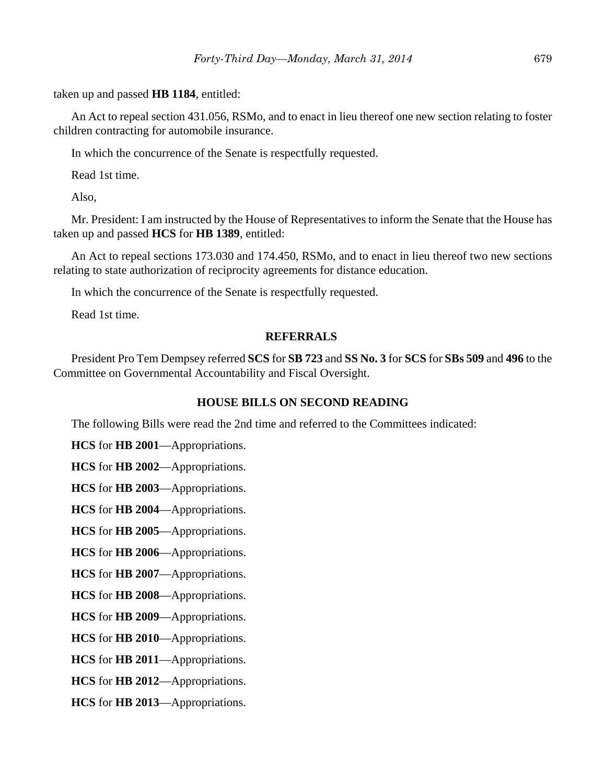taken up and passed **HB 1184**, entitled:

An Act to repeal section 431.056, RSMo, and to enact in lieu thereof one new section relating to foster children contracting for automobile insurance.

In which the concurrence of the Senate is respectfully requested.

Read 1st time.

Also,

Mr. President: I am instructed by the House of Representatives to inform the Senate that the House has taken up and passed **HCS** for **HB 1389**, entitled:

An Act to repeal sections 173.030 and 174.450, RSMo, and to enact in lieu thereof two new sections relating to state authorization of reciprocity agreements for distance education.

In which the concurrence of the Senate is respectfully requested.

Read 1st time.

## **REFERRALS**

President Pro Tem Dempsey referred **SCS** for **SB 723** and **SS No. 3** for **SCS** for **SBs 509** and **496** to the Committee on Governmental Accountability and Fiscal Oversight.

# **HOUSE BILLS ON SECOND READING**

The following Bills were read the 2nd time and referred to the Committees indicated:

**HCS** for **HB 2001**—Appropriations.

**HCS** for **HB 2002**—Appropriations.

**HCS** for **HB 2003**—Appropriations.

**HCS** for **HB 2004**—Appropriations.

**HCS** for **HB 2005**—Appropriations.

**HCS** for **HB 2006**—Appropriations.

**HCS** for **HB 2007**—Appropriations.

**HCS** for **HB 2008**—Appropriations.

**HCS** for **HB 2009**—Appropriations.

**HCS** for **HB 2010**—Appropriations.

**HCS** for **HB 2011**—Appropriations.

**HCS** for **HB 2012**—Appropriations.

**HCS** for **HB 2013**—Appropriations.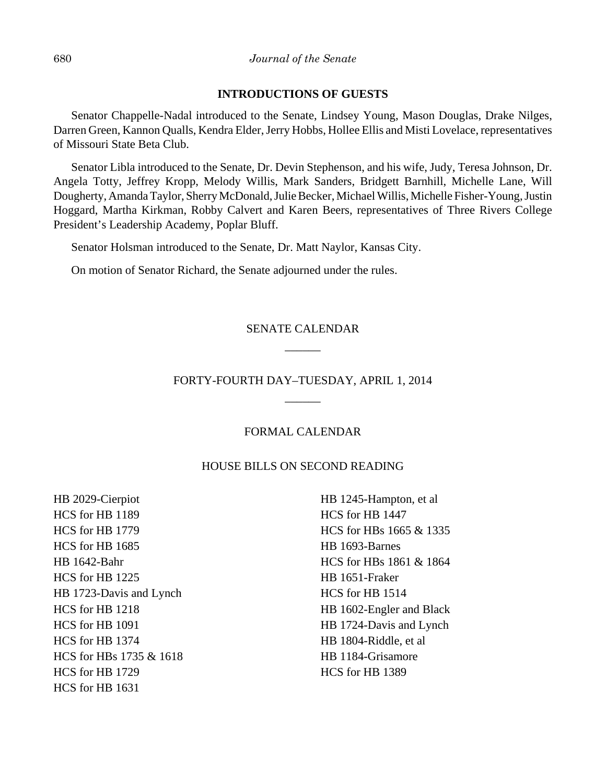## **INTRODUCTIONS OF GUESTS**

Senator Chappelle-Nadal introduced to the Senate, Lindsey Young, Mason Douglas, Drake Nilges, Darren Green, Kannon Qualls, Kendra Elder, Jerry Hobbs, Hollee Ellis and Misti Lovelace, representatives of Missouri State Beta Club.

Senator Libla introduced to the Senate, Dr. Devin Stephenson, and his wife, Judy, Teresa Johnson, Dr. Angela Totty, Jeffrey Kropp, Melody Willis, Mark Sanders, Bridgett Barnhill, Michelle Lane, Will Dougherty, Amanda Taylor, Sherry McDonald, Julie Becker, Michael Willis, Michelle Fisher-Young, Justin Hoggard, Martha Kirkman, Robby Calvert and Karen Beers, representatives of Three Rivers College President's Leadership Academy, Poplar Bluff.

Senator Holsman introduced to the Senate, Dr. Matt Naylor, Kansas City.

On motion of Senator Richard, the Senate adjourned under the rules.

# SENATE CALENDAR  $\overline{\phantom{a}}$

# FORTY-FOURTH DAY–TUESDAY, APRIL 1, 2014 \_\_\_\_\_\_

## FORMAL CALENDAR

## HOUSE BILLS ON SECOND READING

HB 2029-Cierpiot HCS for HB 1189 HCS for HB 1779 HCS for HB 1685 HB 1642-Bahr HCS for HB 1225 HB 1723-Davis and Lynch HCS for HB 1218 HCS for HB 1091 HCS for HB 1374 HCS for HBs 1735 & 1618 HCS for HB 1729 HCS for HB 1631

HB 1245-Hampton, et al HCS for HB 1447 HCS for HBs 1665 & 1335 HB 1693-Barnes HCS for HBs 1861 & 1864 HB 1651-Fraker HCS for HB 1514 HB 1602-Engler and Black HB 1724-Davis and Lynch HB 1804-Riddle, et al HB 1184-Grisamore HCS for HB 1389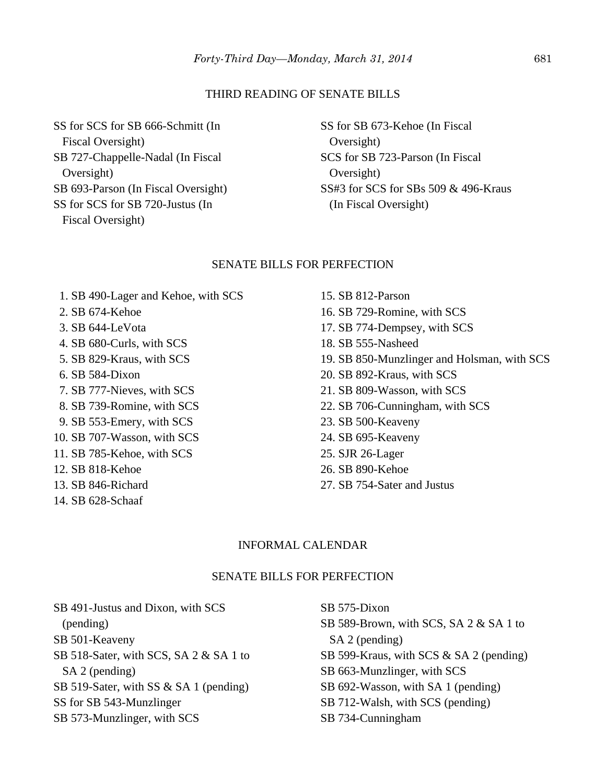#### THIRD READING OF SENATE BILLS

SS for SCS for SB 666-Schmitt (In Fiscal Oversight) SB 727-Chappelle-Nadal (In Fiscal Oversight) SB 693-Parson (In Fiscal Oversight) SS for SCS for SB 720-Justus (In Fiscal Oversight)

SS for SB 673-Kehoe (In Fiscal Oversight) SCS for SB 723-Parson (In Fiscal Oversight) SS#3 for SCS for SBs 509 & 496-Kraus (In Fiscal Oversight)

#### SENATE BILLS FOR PERFECTION

- 1. SB 490-Lager and Kehoe, with SCS
- 2. SB 674-Kehoe
- 3. SB 644-LeVota
- 4. SB 680-Curls, with SCS
- 5. SB 829-Kraus, with SCS
- 6. SB 584-Dixon
- 7. SB 777-Nieves, with SCS
- 8. SB 739-Romine, with SCS
- 9. SB 553-Emery, with SCS
- 10. SB 707-Wasson, with SCS
- 11. SB 785-Kehoe, with SCS
- 12. SB 818-Kehoe
- 13. SB 846-Richard
- 14. SB 628-Schaaf
- 15. SB 812-Parson 16. SB 729-Romine, with SCS 17. SB 774-Dempsey, with SCS 18. SB 555-Nasheed 19. SB 850-Munzlinger and Holsman, with SCS 20. SB 892-Kraus, with SCS 21. SB 809-Wasson, with SCS 22. SB 706-Cunningham, with SCS 23. SB 500-Keaveny 24. SB 695-Keaveny 25. SJR 26-Lager
- 26. SB 890-Kehoe
- 27. SB 754-Sater and Justus

## INFORMAL CALENDAR

#### SENATE BILLS FOR PERFECTION

SB 491-Justus and Dixon, with SCS (pending) SB 501-Keaveny SB 518-Sater, with SCS, SA 2 & SA 1 to SA 2 (pending) SB 519-Sater, with SS & SA 1 (pending) SS for SB 543-Munzlinger SB 573-Munzlinger, with SCS

SB 575-Dixon SB 589-Brown, with SCS, SA 2 & SA 1 to SA 2 (pending) SB 599-Kraus, with SCS & SA 2 (pending) SB 663-Munzlinger, with SCS SB 692-Wasson, with SA 1 (pending) SB 712-Walsh, with SCS (pending) SB 734-Cunningham